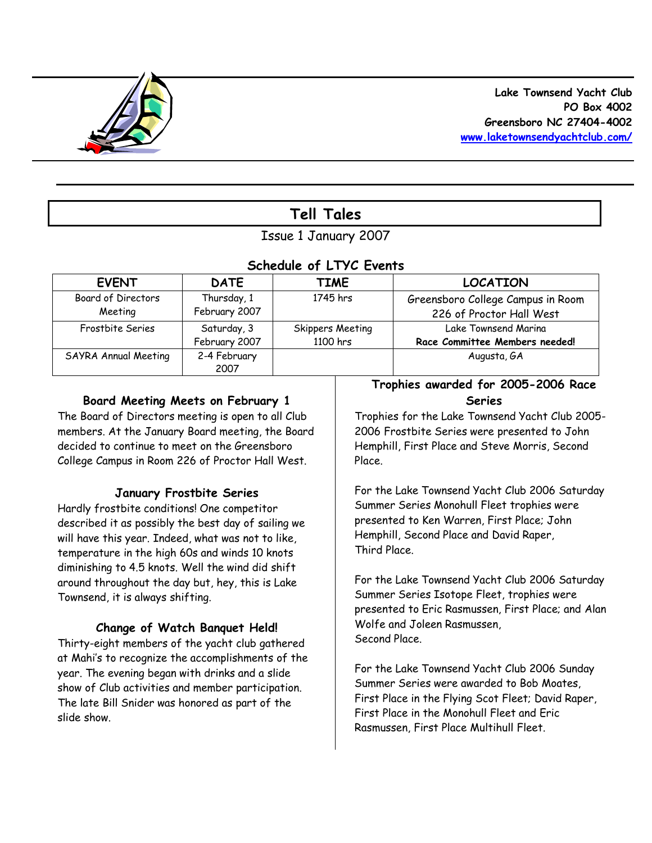

# **Tell Tales**

# Issue 1 January 2007

# *Schedule of LTYC Events*

| <b>EVENT</b>         | <b>DATE</b>   | TIME             | <b>LOCATION</b>                   |
|----------------------|---------------|------------------|-----------------------------------|
| Board of Directors   | Thursday, 1   | 1745 hrs         | Greensboro College Campus in Room |
| Meeting              | February 2007 |                  | 226 of Proctor Hall West          |
| Frostbite Series     | Saturday, 3   | Skippers Meeting | Lake Townsend Marina              |
|                      | February 2007 | 1100 hrs         | Race Committee Members needed!    |
| SAYRA Annual Meeting | 2-4 February  |                  | Augusta, GA                       |
|                      | 2007          |                  |                                   |

# **Board Meeting Meets on February 1**

The Board of Directors meeting is open to all Club members. At the January Board meeting, the Board decided to continue to meet on the Greensboro College Campus in Room 226 of Proctor Hall West.

# **January Frostbite Series**

Hardly frostbite conditions! One competitor described it as possibly the best day of sailing we will have this year. Indeed, what was not to like, temperature in the high 60s and winds 10 knots diminishing to 4.5 knots. Well the wind did shift around throughout the day but, hey, this is Lake Townsend, it is always shifting.

# **Change of Watch Banquet Held!**

Thirty-eight members of the yacht club gathered at Mahi's to recognize the accomplishments of the year. The evening began with drinks and a slide show of Club activities and member participation. The late Bill Snider was honored as part of the slide show.

# **Trophies awarded for 2005-2006 Race Series**

Trophies for the Lake Townsend Yacht Club 2005- 2006 Frostbite Series were presented to John Hemphill, First Place and Steve Morris, Second Place.

For the Lake Townsend Yacht Club 2006 Saturday Summer Series Monohull Fleet trophies were presented to Ken Warren, First Place; John Hemphill, Second Place and David Raper, Third Place.

For the Lake Townsend Yacht Club 2006 Saturday Summer Series Isotope Fleet, trophies were presented to Eric Rasmussen, First Place; and Alan Wolfe and Joleen Rasmussen, Second Place.

For the Lake Townsend Yacht Club 2006 Sunday Summer Series were awarded to Bob Moates, First Place in the Flying Scot Fleet; David Raper, First Place in the Monohull Fleet and Eric Rasmussen, First Place Multihull Fleet.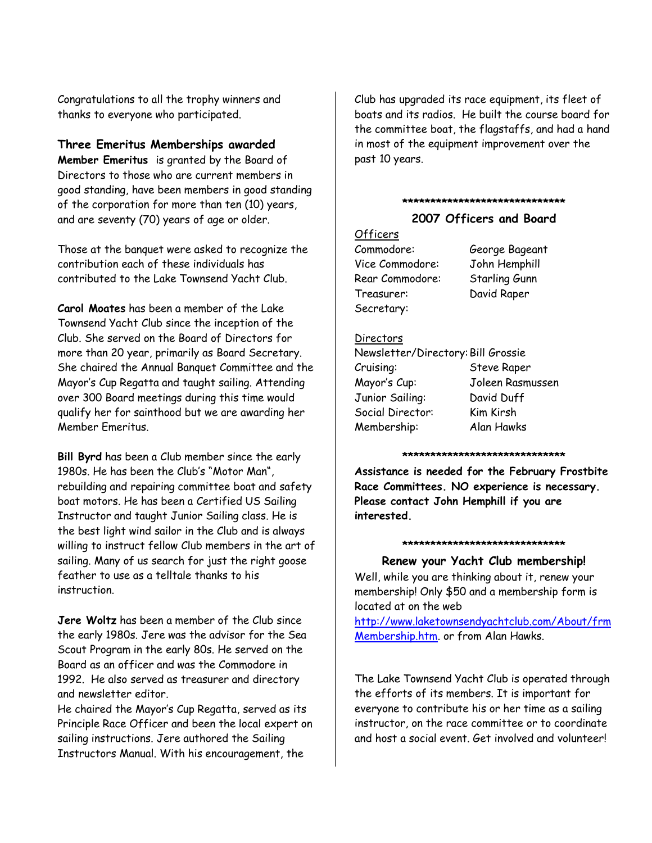Congratulations to all the trophy winners and thanks to everyone who participated.

### **Three Emeritus Memberships awarded**

*Member Emeritus* is granted by the Board of Directors to those who are current members in good standing, have been members in good standing of the corporation for more than ten (10) years, and are seventy (70) years of age or older.

Those at the banquet were asked to recognize the contribution each of these individuals has contributed to the Lake Townsend Yacht Club.

**Carol Moates** has been a member of the Lake Townsend Yacht Club since the inception of the Club. She served on the Board of Directors for more than 20 year, primarily as Board Secretary. She chaired the Annual Banquet Committee and the Mayor's Cup Regatta and taught sailing. Attending over 300 Board meetings during this time would qualify her for sainthood but we are awarding her Member Emeritus.

**Bill Byrd** has been a Club member since the early 1980s. He has been the Club's "Motor Man", rebuilding and repairing committee boat and safety boat motors. He has been a Certified US Sailing Instructor and taught Junior Sailing class. He is the best light wind sailor in the Club and is always willing to instruct fellow Club members in the art of sailing. Many of us search for just the right goose feather to use as a telltale thanks to his instruction.

**Jere Woltz** has been a member of the Club since the early 1980s. Jere was the advisor for the Sea Scout Program in the early 80s. He served on the Board as an officer and was the Commodore in 1992. He also served as treasurer and directory and newsletter editor.

He chaired the Mayor's Cup Regatta, served as its Principle Race Officer and been the local expert on sailing instructions. Jere authored the Sailing Instructors Manual. With his encouragement, the

Club has upgraded its race equipment, its fleet of boats and its radios. He built the course board for the committee boat, the flagstaffs, and had a hand in most of the equipment improvement over the past 10 years.

#### **\*\*\*\*\*\*\*\*\*\*\*\*\*\*\*\*\*\*\*\*\*\*\*\*\*\*\*\*\***

### **2007 Officers and Board**

### Officers

Commodore: George Bageant Vice Commodore: John Hemphill Rear Commodore: Starling Gunn Treasurer: David Raper Secretary:

#### Directors

| Newsletter/Directory: Bill Grossie |                    |
|------------------------------------|--------------------|
| Cruising:                          | <b>Steve Raper</b> |
| Mayor's Cup:                       | Joleen Rasmussen   |
| Junior Sailing:                    | David Duff         |
| Social Director:                   | Kim Kirsh          |
| Membership:                        | Alan Hawks         |

#### **\*\*\*\*\*\*\*\*\*\*\*\*\*\*\*\*\*\*\*\*\*\*\*\*\*\*\*\*\***

**Assistance is needed for the February Frostbite Race Committees. NO experience is necessary. Please contact John Hemphill if you are interested.** 

#### **\*\*\*\*\*\*\*\*\*\*\*\*\*\*\*\*\*\*\*\*\*\*\*\*\*\*\*\*\***

**Renew your Yacht Club membership!** Well, while you are thinking about it, renew your membership! Only \$50 and a membership form is located at on the web

http://www.laketownsendyachtclub.com/About/frm Membership.htm. or from Alan Hawks.

The Lake Townsend Yacht Club is operated through the efforts of its members. It is important for everyone to contribute his or her time as a sailing instructor, on the race committee or to coordinate and host a social event. Get involved and volunteer!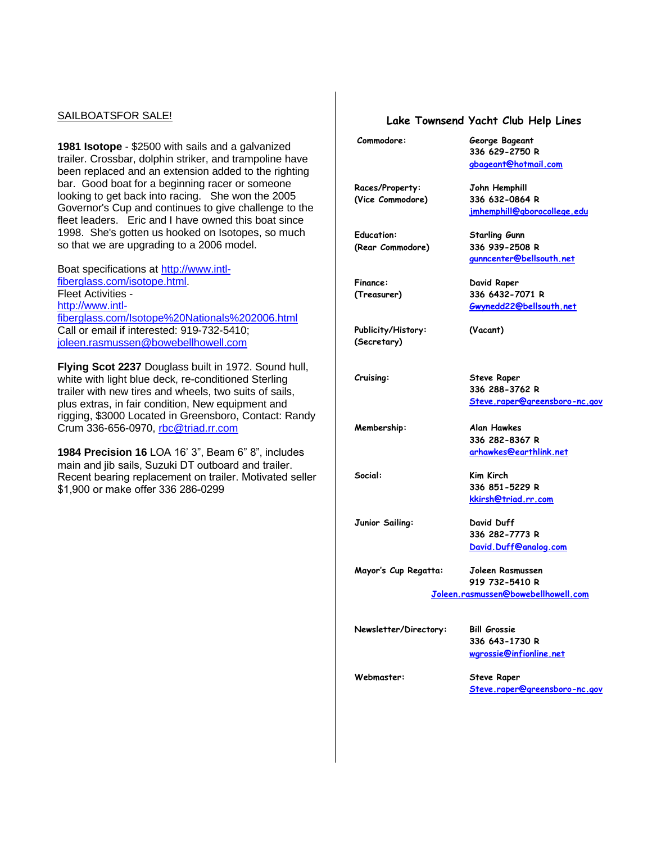#### SAILBOATSFOR SALE!

**1981 Isotope** - \$2500 with sails and a galvanized trailer. Crossbar, dolphin striker, and trampoline have been replaced and an extension added to the righting bar. Good boat for a beginning racer or someone looking to get back into racing. She won the 2005 Governor's Cup and continues to give challenge to the fleet leaders. Eric and I have owned this boat since 1998. She's gotten us hooked on Isotopes, so much so that we are upgrading to a 2006 model.

Boat specifications at http://www.intlfiberglass.com/isotope.html. Fleet Activities http://www.intlfiberglass.com/Isotope%20Nationals%202006.html Call or email if interested: 919-732-5410; joleen.rasmussen@bowebellhowell.com

**Flying Scot 2237** Douglass built in 1972. Sound hull, white with light blue deck, re-conditioned Sterling trailer with new tires and wheels, two suits of sails, plus extras, in fair condition, New equipment and rigging, \$3000 Located in Greensboro, Contact: Randy Crum 336-656-0970, rbc@triad.rr.com

**1984 Precision 16** LOA 16' 3", Beam 6" 8", includes main and jib sails, Suzuki DT outboard and trailer. Recent bearing replacement on trailer. Motivated seller \$1,900 or make offer 336 286-0299

#### **Lake Townsend Yacht Club Help Lines**

| Commodore:                          | George Bageant<br>336 629-2750 R<br>gbageant@hotmail.com                       |  |  |
|-------------------------------------|--------------------------------------------------------------------------------|--|--|
| Races/Property:<br>(Vice Commodore) | John Hemphill<br>336 632-0864 R<br><u>jmhemphill@gborocollege.edu</u>          |  |  |
| Education:<br>(Rear Commodore)      | <b>Starling Gunn</b><br>336 939-2508 R<br>qunncenter@bellsouth.net             |  |  |
| Finance:<br>(Treasurer)             | David Raper<br>336 6432-7071 R<br>Gwynedd22@bellsouth.net                      |  |  |
| Publicity/History:<br>(Secretary)   | (Vacant)                                                                       |  |  |
| Cruising:                           | <b>Steve Raper</b><br>336 288-3762 R<br>Steve.raper@greensboro-nc.gov          |  |  |
| Membership:                         | Alan Hawkes<br>336 282-8367 R<br>arhawkes@earthlink.net                        |  |  |
| :Social                             | <b>Kim Kirch</b><br>336 851-5229 R<br>kkirsh@triad.rr.com                      |  |  |
| Junior Sailing:                     | David Duff<br>336 282-7773 R<br>David.Duff@analog.com                          |  |  |
| Mayor's Cup Regatta:                | Joleen Rasmussen<br>919 732-5410 R<br>Joleen.rasmussen@bowebellhowell.com      |  |  |
| Newsletter/Directory:               | <b>Bill Grossie</b><br>336 643-1730 R                                          |  |  |
| Webmaster:                          | wgrossie@infionline.net<br><b>Steve Raper</b><br>Steve.raper@greensboro-nc.gov |  |  |
|                                     |                                                                                |  |  |